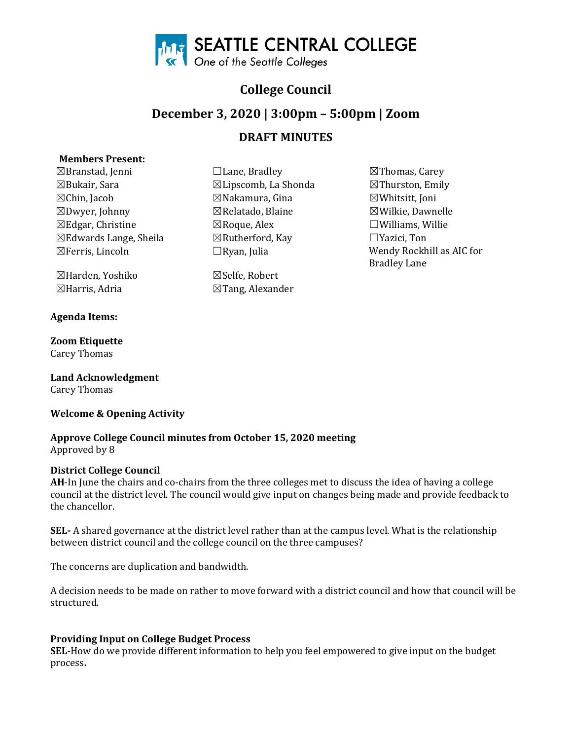

# **College Council**

## **December 3, 2020 | 3:00pm – 5:00pm | Zoom**

## **DRAFT MINUTES**

## **Members Present:**

☒Branstad, Jenni ☐Lane, Bradley ☒Thomas, Carey  $\boxtimes$ Bukair, Sara  $\boxtimes$ Lipscomb, La Shonda ☒Chin, Jacob ☒Nakamura, Gina ☒Whitsitt, Joni ☒Edgar, Christine ☒Roque, Alex ☐Williams, Willie  $\boxtimes$ Edwards Lange, Sheila  $\boxtimes$ Rutherford<br> $\boxtimes$ Ferris, Lincoln  $\Box$ Ryan, Julia

☒Harden, Yoshiko ☒Selfe, Robert

#### **Agenda Items:**

**Zoom Etiquette**  Carey Thomas

**Land Acknowledgment**  Carey Thomas

## **Welcome & Opening Activity**

#### **Approve College Council minutes from October 15, 2020 meeting** Approved by 8

## **District College Council**

**AH**-In June the chairs and co-chairs from the three colleges met to discuss the idea of having a college council at the district level. The council would give input on changes being made and provide feedback to the chancellor.

**SEL-** A shared governance at the district level rather than at the campus level. What is the relationship between district council and the college council on the three campuses?

The concerns are duplication and bandwidth.

A decision needs to be made on rather to move forward with a district council and how that council will be structured.

## **Providing Input on College Budget Process**

**SEL-**How do we provide different information to help you feel empowered to give input on the budget process**.** 

 $\boxtimes$ Tang, Alexander

 $\boxtimes$ Wilkie, Dawnelle Wendy Rockhill as AIC for Bradley Lane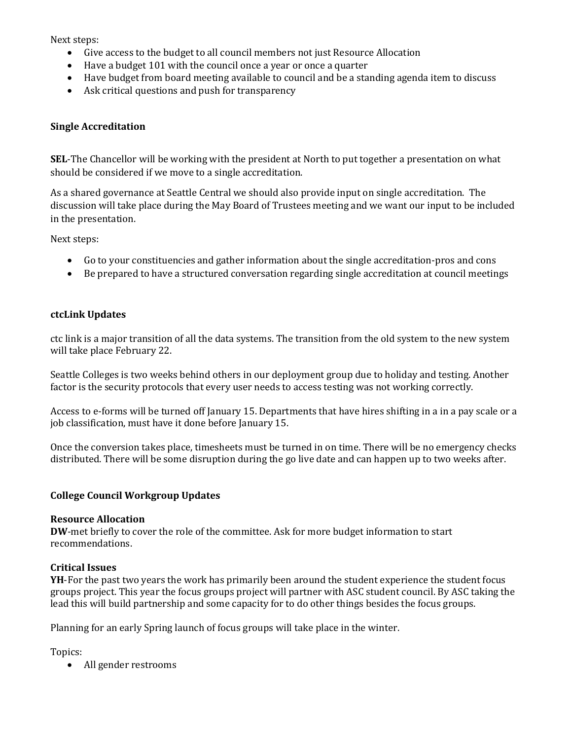Next steps:

- Give access to the budget to all council members not just Resource Allocation
- Have a budget 101 with the council once a year or once a quarter
- Have budget from board meeting available to council and be a standing agenda item to discuss
- Ask critical questions and push for transparency

## **Single Accreditation**

**SEL**-The Chancellor will be working with the president at North to put together a presentation on what should be considered if we move to a single accreditation.

As a shared governance at Seattle Central we should also provide input on single accreditation. The discussion will take place during the May Board of Trustees meeting and we want our input to be included in the presentation.

Next steps:

- Go to your constituencies and gather information about the single accreditation-pros and cons
- Be prepared to have a structured conversation regarding single accreditation at council meetings

#### **ctcLink Updates**

ctc link is a major transition of all the data systems. The transition from the old system to the new system will take place February 22.

Seattle Colleges is two weeks behind others in our deployment group due to holiday and testing. Another factor is the security protocols that every user needs to access testing was not working correctly.

Access to e-forms will be turned off January 15. Departments that have hires shifting in a in a pay scale or a job classification, must have it done before January 15.

Once the conversion takes place, timesheets must be turned in on time. There will be no emergency checks distributed. There will be some disruption during the go live date and can happen up to two weeks after.

## **College Council Workgroup Updates**

#### **Resource Allocation**

**DW**-met briefly to cover the role of the committee. Ask for more budget information to start recommendations.

## **Critical Issues**

**YH**-For the past two years the work has primarily been around the student experience the student focus groups project. This year the focus groups project will partner with ASC student council. By ASC taking the lead this will build partnership and some capacity for to do other things besides the focus groups.

Planning for an early Spring launch of focus groups will take place in the winter.

Topics:

• All gender restrooms